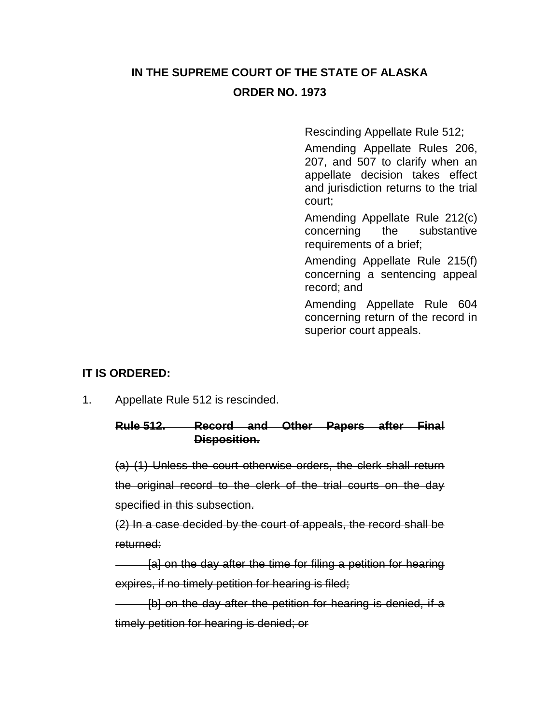# **IN THE SUPREME COURT OF THE STATE OF ALASKA ORDER NO. 1973**

Rescinding Appellate Rule 512;

Amending Appellate Rules 206, 207, and 507 to clarify when an appellate decision takes effect and jurisdiction returns to the trial court;

Amending Appellate Rule 212(c) concerning the substantive requirements of a brief;

Amending Appellate Rule 215(f) concerning a sentencing appeal record; and

Amending Appellate Rule 604 concerning return of the record in superior court appeals.

## **IT IS ORDERED:**

1. Appellate Rule 512 is rescinded.

#### **Rule 512. Record and Other Papers after Final Disposition.**

(a) (1) Unless the court otherwise orders, the clerk shall return the original record to the clerk of the trial courts on the day specified in this subsection.

(2) In a case decided by the court of appeals, the record shall be returned:

[a] on the day after the time for filing a petition for hearing expires, if no timely petition for hearing is filed;

[b] on the day after the petition for hearing is denied, if a timely petition for hearing is denied; or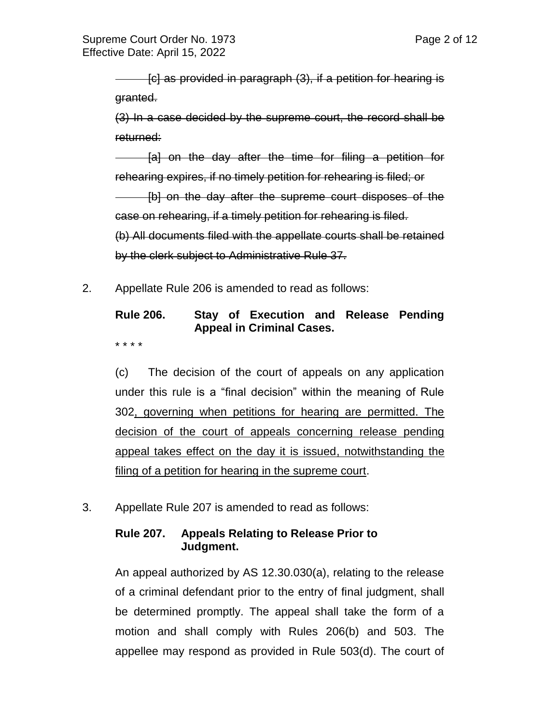[c] as provided in paragraph (3), if a petition for hearing is granted.

(3) In a case decided by the supreme court, the record shall be returned:

[a] on the day after the time for filing a petition for rehearing expires, if no timely petition for rehearing is filed; or

[b] on the day after the supreme court disposes of the case on rehearing, if a timely petition for rehearing is filed.

(b) All documents filed with the appellate courts shall be retained by the clerk subject to Administrative Rule 37.

2. Appellate Rule 206 is amended to read as follows:

## **Rule 206. Stay of Execution and Release Pending Appeal in Criminal Cases.**

\* \* \* \*

(c) The decision of the court of appeals on any application under this rule is a "final decision" within the meaning of Rule 302, governing when petitions for hearing are permitted. The decision of the court of appeals concerning release pending appeal takes effect on the day it is issued, notwithstanding the filing of a petition for hearing in the supreme court.

3. Appellate Rule 207 is amended to read as follows:

#### **Rule 207. Appeals Relating to Release Prior to Judgment.**

An appeal authorized by AS 12.30.030(a), relating to the release of a criminal defendant prior to the entry of final judgment, shall be determined promptly. The appeal shall take the form of a motion and shall comply with Rules 206(b) and 503. The appellee may respond as provided in Rule 503(d). The court of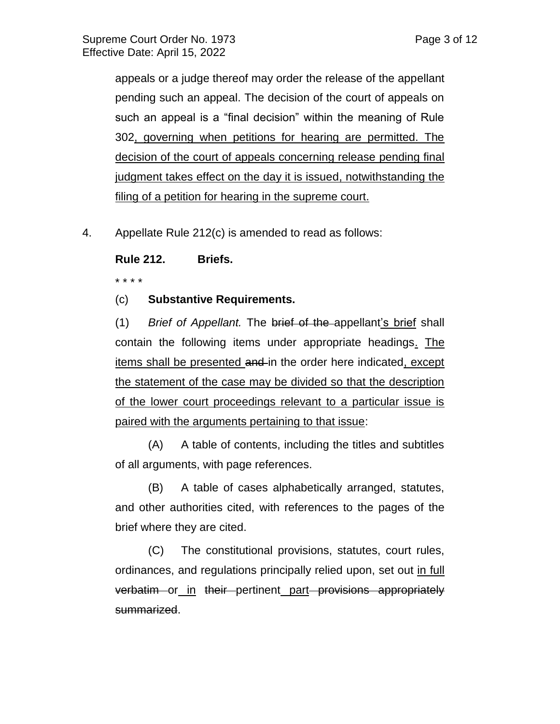appeals or a judge thereof may order the release of the appellant pending such an appeal. The decision of the court of appeals on such an appeal is a "final decision" within the meaning of Rule 302, governing when petitions for hearing are permitted. The decision of the court of appeals concerning release pending final judgment takes effect on the day it is issued, notwithstanding the filing of a petition for hearing in the supreme court.

4. Appellate Rule 212(c) is amended to read as follows:

**Rule 212. Briefs.**

\* \* \* \*

(c) **Substantive Requirements.** 

(1) *Brief of Appellant.* The brief of the appellant's brief shall contain the following items under appropriate headings. The items shall be presented and in the order here indicated, except the statement of the case may be divided so that the description of the lower court proceedings relevant to a particular issue is paired with the arguments pertaining to that issue:

(A) A table of contents, including the titles and subtitles of all arguments, with page references.

(B) A table of cases alphabetically arranged, statutes, and other authorities cited, with references to the pages of the brief where they are cited.

(C) The constitutional provisions, statutes, court rules, ordinances, and regulations principally relied upon, set out in full verbatim or in their pertinent part provisions appropriately summarized.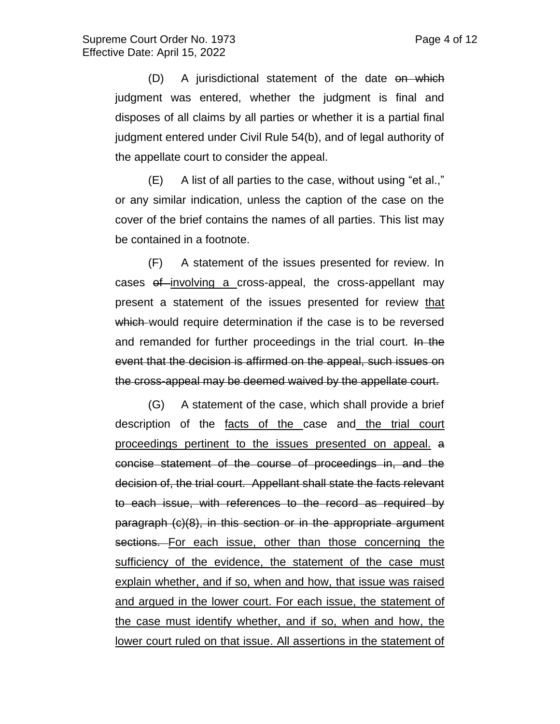(D) A jurisdictional statement of the date on which judgment was entered, whether the judgment is final and disposes of all claims by all parties or whether it is a partial final judgment entered under Civil Rule 54(b), and of legal authority of the appellate court to consider the appeal.

(E) A list of all parties to the case, without using "et al.," or any similar indication, unless the caption of the case on the cover of the brief contains the names of all parties. This list may be contained in a footnote.

(F) A statement of the issues presented for review. In cases of involving a cross-appeal, the cross-appellant may present a statement of the issues presented for review that which would require determination if the case is to be reversed and remanded for further proceedings in the trial court. In the event that the decision is affirmed on the appeal, such issues on the cross-appeal may be deemed waived by the appellate court.

(G) A statement of the case, which shall provide a brief description of the facts of the case and the trial court proceedings pertinent to the issues presented on appeal. a concise statement of the course of proceedings in, and the decision of, the trial court. Appellant shall state the facts relevant to each issue, with references to the record as required by paragraph (c)(8), in this section or in the appropriate argument sections. For each issue, other than those concerning the sufficiency of the evidence, the statement of the case must explain whether, and if so, when and how, that issue was raised and argued in the lower court. For each issue, the statement of the case must identify whether, and if so, when and how, the lower court ruled on that issue. All assertions in the statement of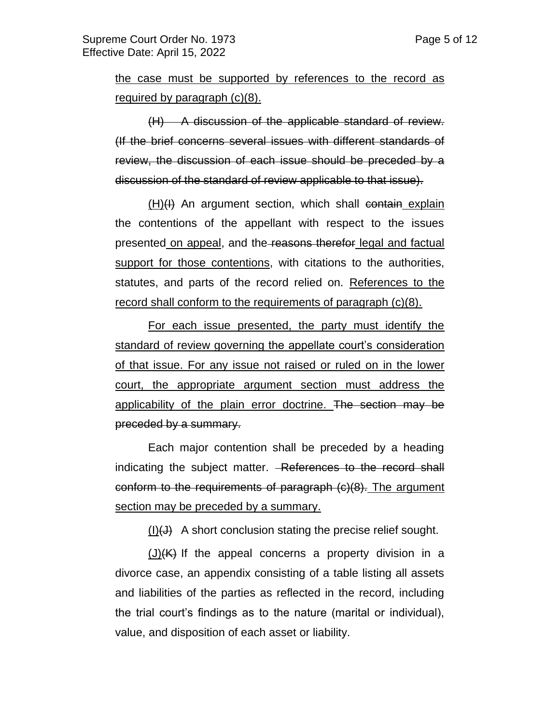the case must be supported by references to the record as required by paragraph (c)(8).

(H) A discussion of the applicable standard of review. (If the brief concerns several issues with different standards of review, the discussion of each issue should be preceded by a discussion of the standard of review applicable to that issue).

 $(H)(H)$  An argument section, which shall contain explain the contentions of the appellant with respect to the issues presented on appeal, and the reasons therefor legal and factual support for those contentions, with citations to the authorities, statutes, and parts of the record relied on. References to the record shall conform to the requirements of paragraph (c)(8).

For each issue presented, the party must identify the standard of review governing the appellate court's consideration of that issue. For any issue not raised or ruled on in the lower court, the appropriate argument section must address the applicability of the plain error doctrine. The section may be preceded by a summary.

Each major contention shall be preceded by a heading indicating the subject matter. - References to the record shall conform to the requirements of paragraph (c)(8). The argument section may be preceded by a summary.

 $(I)(J)$  A short conclusion stating the precise relief sought.

 $(J)(K)$  If the appeal concerns a property division in a divorce case, an appendix consisting of a table listing all assets and liabilities of the parties as reflected in the record, including the trial court's findings as to the nature (marital or individual), value, and disposition of each asset or liability.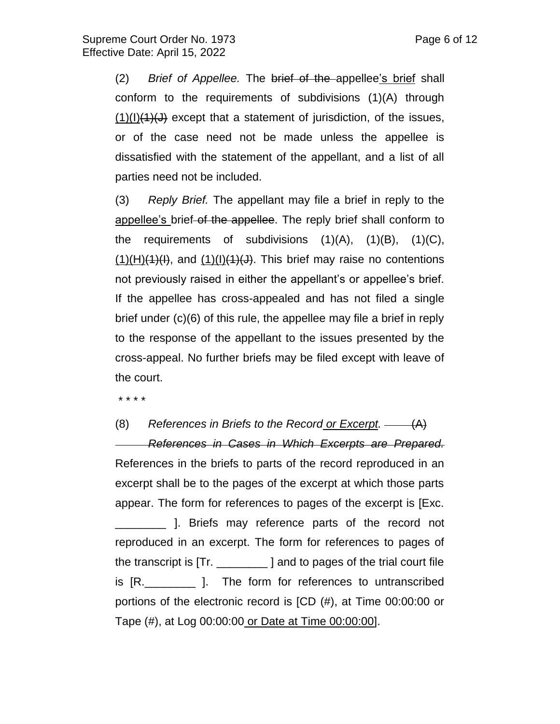(2) *Brief of Appellee.* The brief of the appellee's brief shall conform to the requirements of subdivisions (1)(A) through  $(1)(1)(4)(J)$  except that a statement of jurisdiction, of the issues, or of the case need not be made unless the appellee is dissatisfied with the statement of the appellant, and a list of all parties need not be included.

(3) *Reply Brief.* The appellant may file a brief in reply to the appellee's brief of the appellee. The reply brief shall conform to the requirements of subdivisions  $(1)(A)$ ,  $(1)(B)$ ,  $(1)(C)$ ,  $(1)(H)(4)(I),$  and  $(1)(I)(J)(J),$  This brief may raise no contentions not previously raised in either the appellant's or appellee's brief. If the appellee has cross-appealed and has not filed a single brief under (c)(6) of this rule, the appellee may file a brief in reply to the response of the appellant to the issues presented by the cross-appeal. No further briefs may be filed except with leave of the court.

\* \* \* \*

(8) *References in Briefs to the Record or Excerpt.* (A) *References in Cases in Which Excerpts are Prepared.*  References in the briefs to parts of the record reproduced in an excerpt shall be to the pages of the excerpt at which those parts appear. The form for references to pages of the excerpt is [Exc. \_\_\_\_\_\_\_\_ ]. Briefs may reference parts of the record not reproduced in an excerpt. The form for references to pages of the transcript is [Tr. \_\_\_\_\_\_\_\_ ] and to pages of the trial court file is [R.\_\_\_\_\_\_\_\_ ]. The form for references to untranscribed portions of the electronic record is [CD (#), at Time 00:00:00 or Tape (#), at Log 00:00:00 or Date at Time 00:00:00].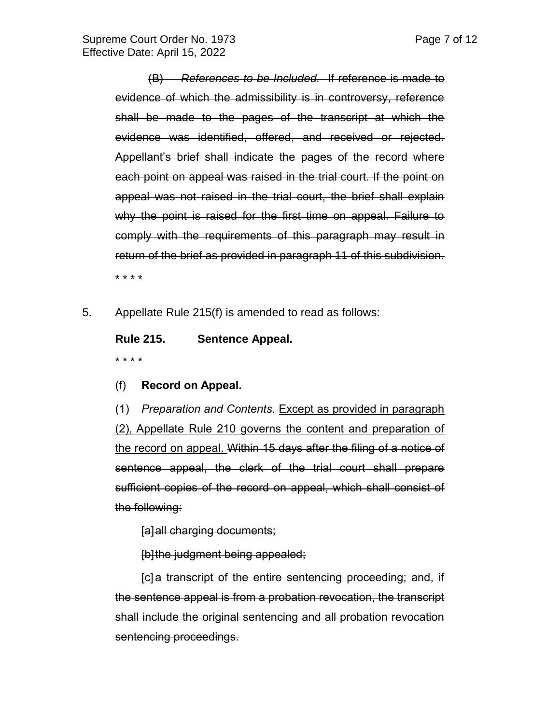(B) *References to be Included.* If reference is made to evidence of which the admissibility is in controversy, reference shall be made to the pages of the transcript at which the evidence was identified, offered, and received or rejected. Appellant's brief shall indicate the pages of the record where each point on appeal was raised in the trial court. If the point on appeal was not raised in the trial court, the brief shall explain why the point is raised for the first time on appeal. Failure to comply with the requirements of this paragraph may result in return of the brief as provided in paragraph 11 of this subdivision. \* \* \* \*

5. Appellate Rule 215(f) is amended to read as follows:

**Rule 215. Sentence Appeal.** \* \* \* \*

(f) **Record on Appeal.** 

(1) *Preparation and Contents.* Except as provided in paragraph (2), Appellate Rule 210 governs the content and preparation of the record on appeal. Within 15 days after the filing of a notice of sentence appeal, the clerk of the trial court shall prepare sufficient copies of the record on appeal, which shall consist of the following:

[a]all charging documents;

[b]the judgment being appealed;

[c] a transcript of the entire sentencing proceeding; and, if the sentence appeal is from a probation revocation, the transcript shall include the original sentencing and all probation revocation sentencing proceedings.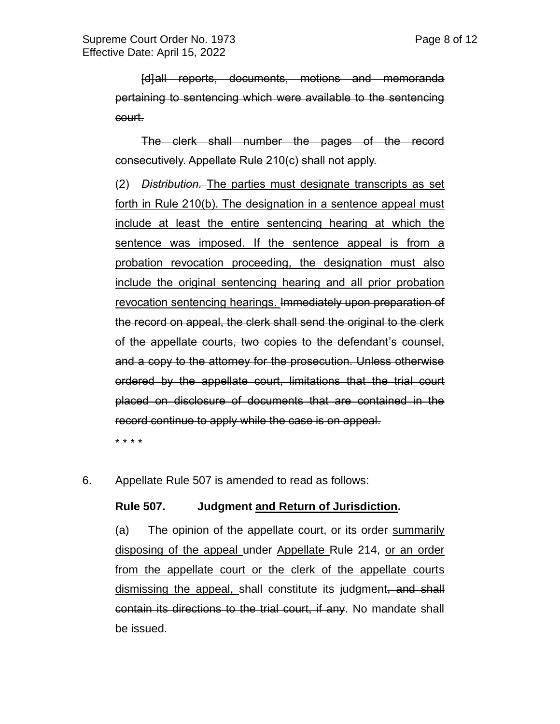[d]all reports, documents, motions and memoranda pertaining to sentencing which were available to the sentencing court.

The clerk shall number the pages of the record consecutively. Appellate Rule 210(c) shall not apply.

(2) *Distribution.* The parties must designate transcripts as set forth in Rule 210(b). The designation in a sentence appeal must include at least the entire sentencing hearing at which the sentence was imposed. If the sentence appeal is from a probation revocation proceeding, the designation must also include the original sentencing hearing and all prior probation revocation sentencing hearings. Immediately upon preparation of the record on appeal, the clerk shall send the original to the clerk of the appellate courts, two copies to the defendant's counsel, and a copy to the attorney for the prosecution. Unless otherwise ordered by the appellate court, limitations that the trial court placed on disclosure of documents that are contained in the record continue to apply while the case is on appeal.

\* \* \* \*

6. Appellate Rule 507 is amended to read as follows:

#### **Rule 507. Judgment and Return of Jurisdiction.**

(a) The opinion of the appellate court, or its order summarily disposing of the appeal under Appellate Rule 214, or an order from the appellate court or the clerk of the appellate courts dismissing the appeal, shall constitute its judgment, and shall contain its directions to the trial court, if any. No mandate shall be issued.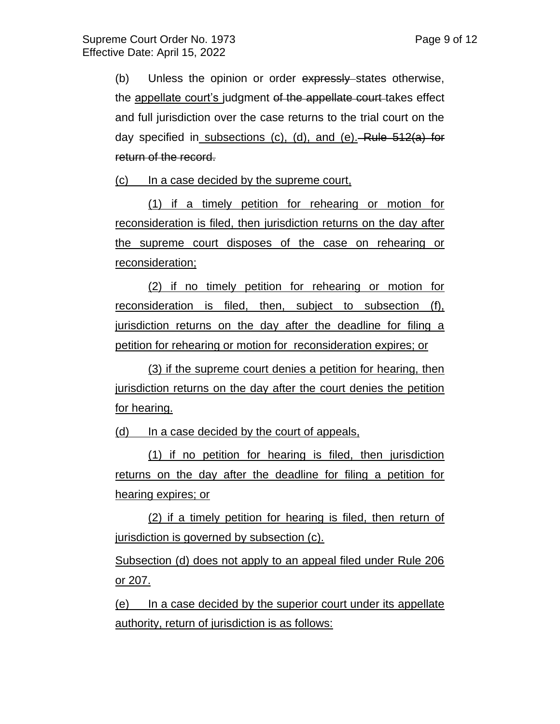(b) Unless the opinion or order expressly states otherwise, the appellate court's judgment of the appellate court takes effect and full jurisdiction over the case returns to the trial court on the day specified in subsections (c), (d), and (e). Rule 512(a) for return of the record.

(c) In a case decided by the supreme court,

(1) if a timely petition for rehearing or motion for reconsideration is filed, then jurisdiction returns on the day after the supreme court disposes of the case on rehearing or reconsideration;

(2) if no timely petition for rehearing or motion for reconsideration is filed, then, subject to subsection (f), jurisdiction returns on the day after the deadline for filing a petition for rehearing or motion for reconsideration expires; or

(3) if the supreme court denies a petition for hearing, then jurisdiction returns on the day after the court denies the petition for hearing.

(d) In a case decided by the court of appeals,

(1) if no petition for hearing is filed, then jurisdiction returns on the day after the deadline for filing a petition for hearing expires; or

(2) if a timely petition for hearing is filed, then return of jurisdiction is governed by subsection (c).

Subsection (d) does not apply to an appeal filed under Rule 206 or 207.

(e) In a case decided by the superior court under its appellate authority, return of jurisdiction is as follows: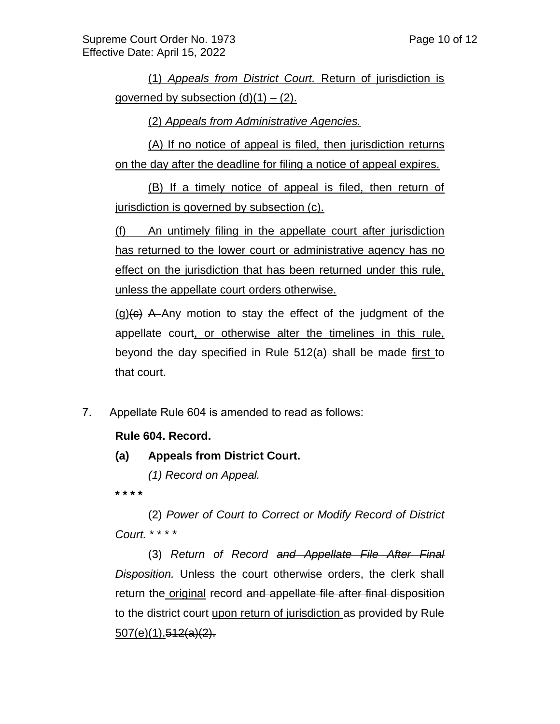(1) *Appeals from District Court.* Return of jurisdiction is governed by subsection  $(d)(1) - (2)$ .

(2) *Appeals from Administrative Agencies.* 

(A) If no notice of appeal is filed, then jurisdiction returns on the day after the deadline for filing a notice of appeal expires.

(B) If a timely notice of appeal is filed, then return of jurisdiction is governed by subsection (c).

(f) An untimely filing in the appellate court after jurisdiction has returned to the lower court or administrative agency has no effect on the jurisdiction that has been returned under this rule, unless the appellate court orders otherwise.

 $(q)$ ( $\epsilon$ ) A Any motion to stay the effect of the judgment of the appellate court, or otherwise alter the timelines in this rule, beyond the day specified in Rule 512(a) shall be made first to that court.

7. Appellate Rule 604 is amended to read as follows:

## **Rule 604. Record.**

**(a) Appeals from District Court.**

*(1) Record on Appeal.*

**\* \* \* \***

(2) *Power of Court to Correct or Modify Record of District Court.* \* \* \* \*

(3) *Return of Record and Appellate File After Final Disposition.* Unless the court otherwise orders, the clerk shall return the original record and appellate file after final disposition to the district court upon return of jurisdiction as provided by Rule 507(e)(1).512(a)(2).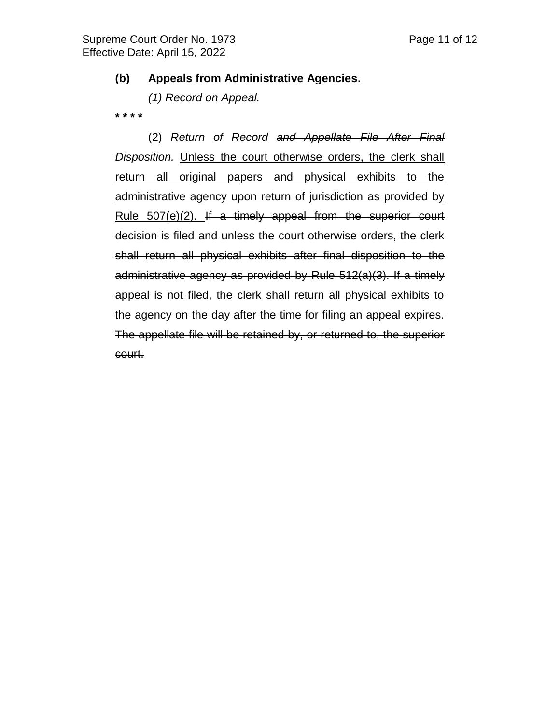#### **(b) Appeals from Administrative Agencies.**

*(1) Record on Appeal.*

**\* \* \* \***

(2) *Return of Record and Appellate File After Final Disposition.* Unless the court otherwise orders, the clerk shall return all original papers and physical exhibits to the administrative agency upon return of jurisdiction as provided by Rule 507(e)(2). If a timely appeal from the superior court decision is filed and unless the court otherwise orders, the clerk shall return all physical exhibits after final disposition to the administrative agency as provided by Rule 512(a)(3). If a timely appeal is not filed, the clerk shall return all physical exhibits to the agency on the day after the time for filing an appeal expires. The appellate file will be retained by, or returned to, the superior court.